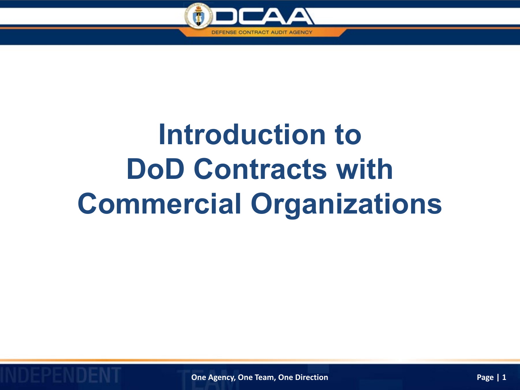

## **Introduction to DoD Contracts with Commercial Organizations**

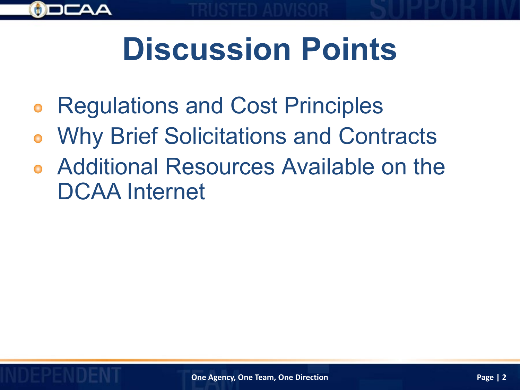

# **Discussion Points**

- Regulations and Cost Principles
- Why Brief Solicitations and Contracts
- Additional Resources Available on the DCAA Internet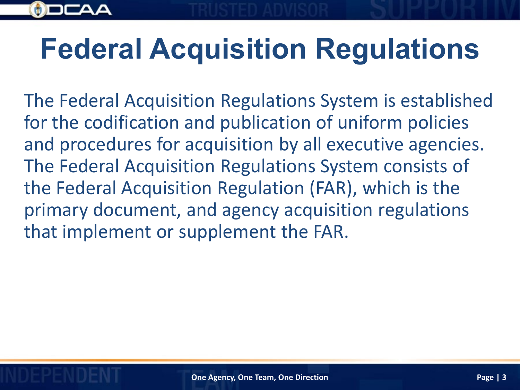

## **Federal Acquisition Regulations**

The Federal Acquisition Regulations System is established for the codification and publication of uniform policies and procedures for acquisition by all executive agencies. The Federal Acquisition Regulations System consists of the Federal Acquisition Regulation (FAR), which is the primary document, and agency acquisition regulations that implement or supplement the FAR.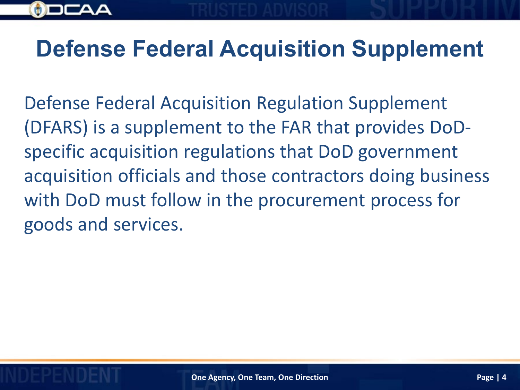

### **Defense Federal Acquisition Supplement**

Defense Federal Acquisition Regulation Supplement (DFARS) is a supplement to the FAR that provides DoDspecific acquisition regulations that DoD government acquisition officials and those contractors doing business with DoD must follow in the procurement process for goods and services.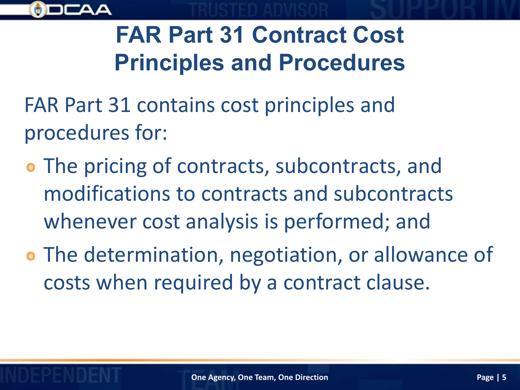

### **FAR Part 31 Contract Cost Principles and Procedures**

- FAR Part 31 contains cost principles and procedures for:
- The pricing of contracts, subcontracts, and modifications to contracts and subcontracts whenever cost analysis is performed; and
- The determination, negotiation, or allowance of costs when required by a contract clause.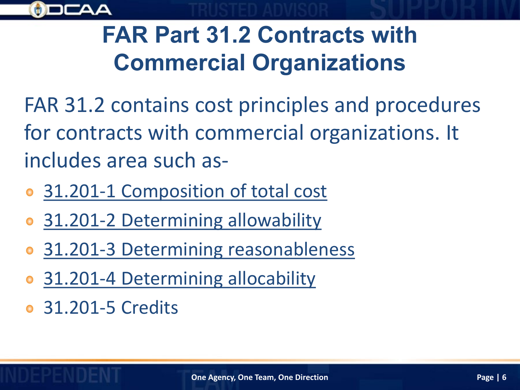

### **FAR Part 31.2 Contracts with Commercial Organizations**

FAR 31.2 contains cost principles and procedures for contracts with commercial organizations. It includes area such as-

- 31.201-1 Composition of total cost
- 31.201-2 Determining allowability
- 31.201-3 Determining reasonableness
- 31.201-4 Determining allocability
- 31.201-5 Credits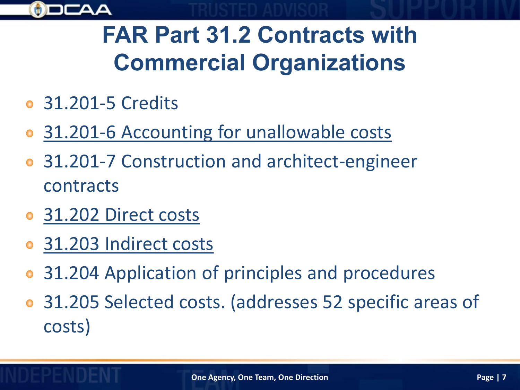

### **FAR Part 31.2 Contracts with Commercial Organizations**

- 31.201-5 Credits
- 31.201-6 Accounting for unallowable costs
- 31.201-7 Construction and architect-engineer  $\bullet$ contracts
- 31.202 Direct costs
- 31.203 Indirect costs  $\bullet$
- 31.204 Application of principles and procedures  $\bullet$
- 31.205 Selected costs. (addresses 52 specific areas of  $\bullet$ costs)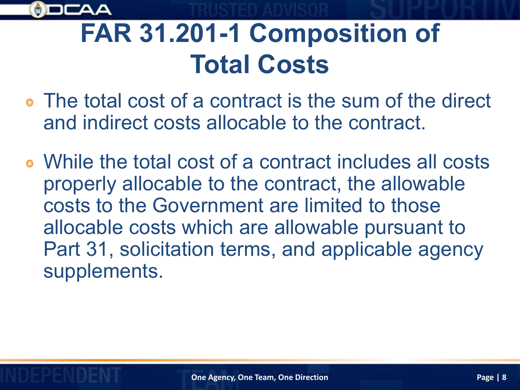

### **FAR 31.201-1 Composition of Total Costs**

- The total cost of a contract is the sum of the direct and indirect costs allocable to the contract.
- While the total cost of a contract includes all costs properly allocable to the contract, the allowable costs to the Government are limited to those allocable costs which are allowable pursuant to Part 31, solicitation terms, and applicable agency supplements.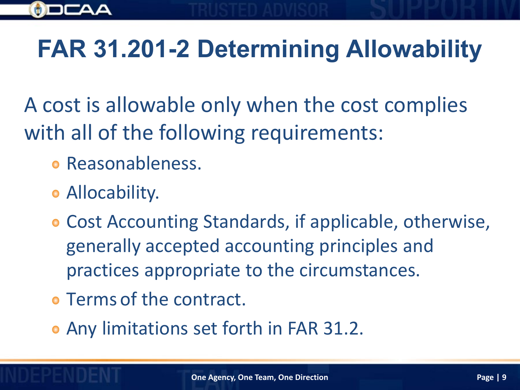

A cost is allowable only when the cost complies with all of the following requirements:

- **Reasonableness.**
- Allocability.
- Cost Accounting Standards, if applicable, otherwise, generally accepted accounting principles and practices appropriate to the circumstances.
- Terms of the contract.
- Any limitations set forth in FAR 31.2.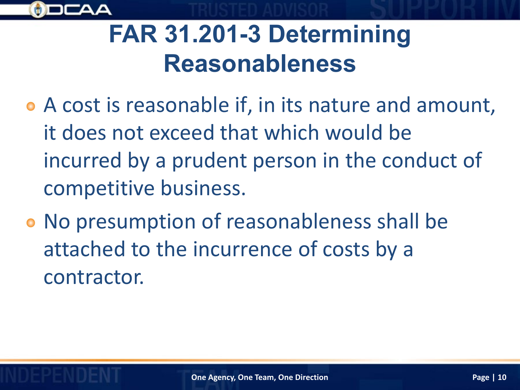

### **FAR 31.201-3 Determining Reasonableness**

- A cost is reasonable if, in its nature and amount, it does not exceed that which would be incurred by a prudent person in the conduct of competitive business.
- No presumption of reasonableness shall be attached to the incurrence of costs by a contractor.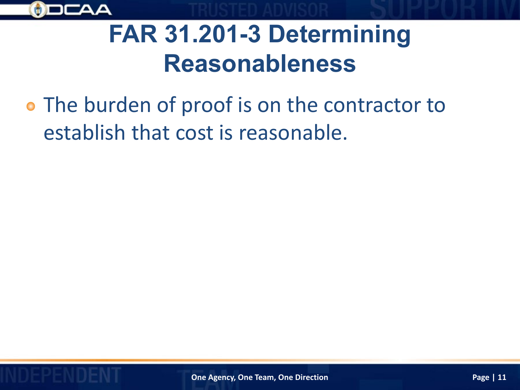

### **FAR 31.201-3 Determining Reasonableness**

The burden of proof is on the contractor to establish that cost is reasonable.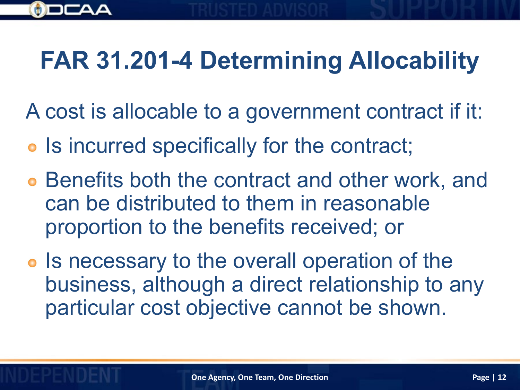### **FAR 31.201-4 Determining Allocability**

A cost is allocable to a government contract if it:

- Is incurred specifically for the contract;
- Benefits both the contract and other work, and can be distributed to them in reasonable proportion to the benefits received; or
- **Is necessary to the overall operation of the** business, although a direct relationship to any particular cost objective cannot be shown.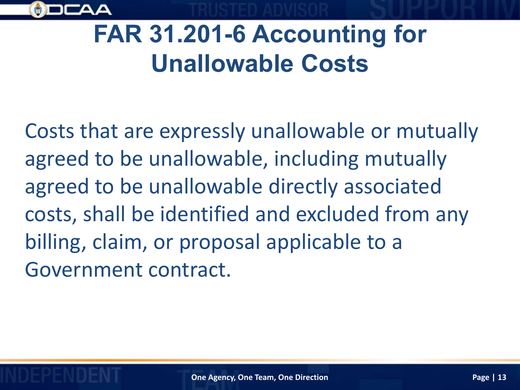

### **FAR 31.201-6 Accounting for Unallowable Costs**

Costs that are expressly unallowable or mutually agreed to be unallowable, including mutually agreed to be unallowable directly associated costs, shall be identified and excluded from any billing, claim, or proposal applicable to a Government contract.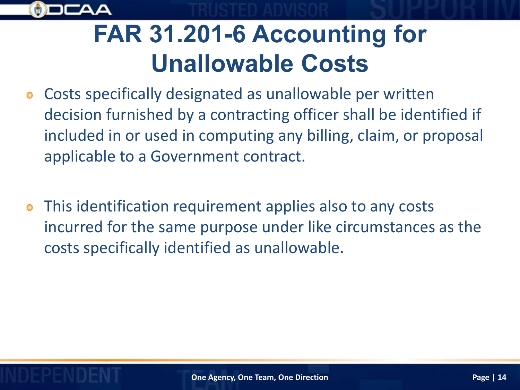

### **FAR 31.201-6 Accounting for Unallowable Costs**

- Costs specifically designated as unallowable per written  $\bullet$ decision furnished by a contracting officer shall be identified if included in or used in computing any billing, claim, or proposal applicable to a Government contract.
- This identification requirement applies also to any costs  $\bullet$ incurred for the same purpose under like circumstances as the costs specifically identified as unallowable.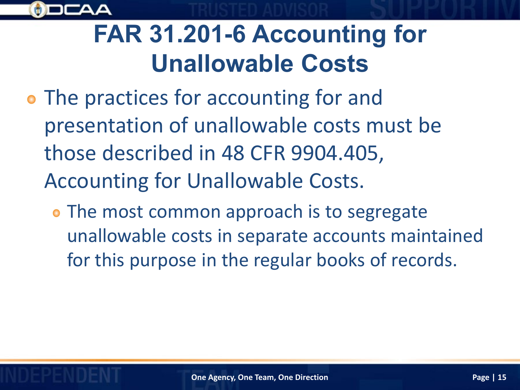

### **FAR 31.201-6 Accounting for Unallowable Costs**

- The practices for accounting for and presentation of unallowable costs must be those described in 48 CFR 9904.405, Accounting for Unallowable Costs.
	- **The most common approach is to segregate** unallowable costs in separate accounts maintained for this purpose in the regular books of records.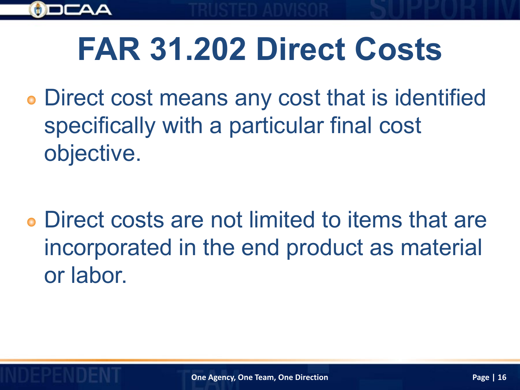

# **FAR 31.202 Direct Costs**

Direct cost means any cost that is identified specifically with a particular final cost objective.

Direct costs are not limited to items that are incorporated in the end product as material or labor.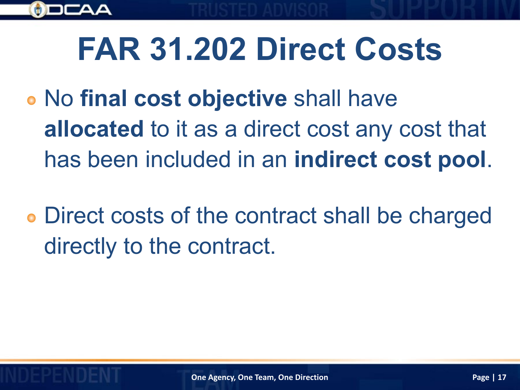

## **FAR 31.202 Direct Costs**

- No **final cost objective** shall have **allocated** to it as a direct cost any cost that has been included in an **indirect cost pool**.
- Direct costs of the contract shall be charged directly to the contract.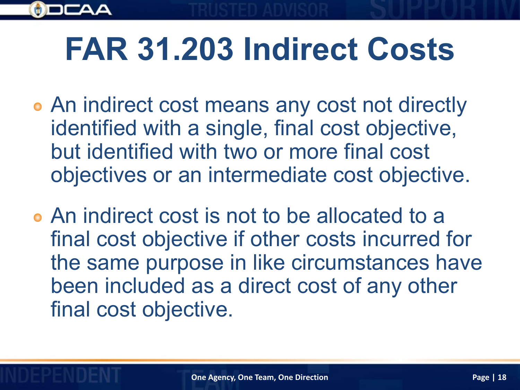

- An indirect cost means any cost not directly identified with a single, final cost objective, but identified with two or more final cost objectives or an intermediate cost objective.
- An indirect cost is not to be allocated to a final cost objective if other costs incurred for the same purpose in like circumstances have been included as a direct cost of any other final cost objective.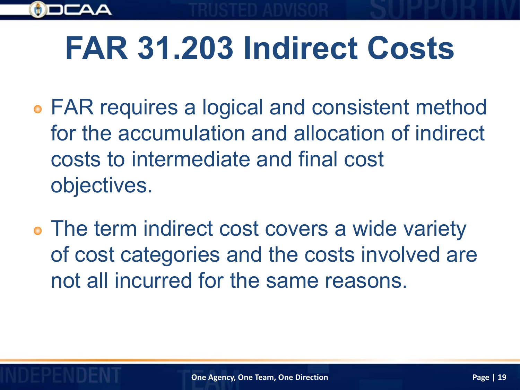

- FAR requires a logical and consistent method for the accumulation and allocation of indirect costs to intermediate and final cost objectives.
- The term indirect cost covers a wide variety of cost categories and the costs involved are not all incurred for the same reasons.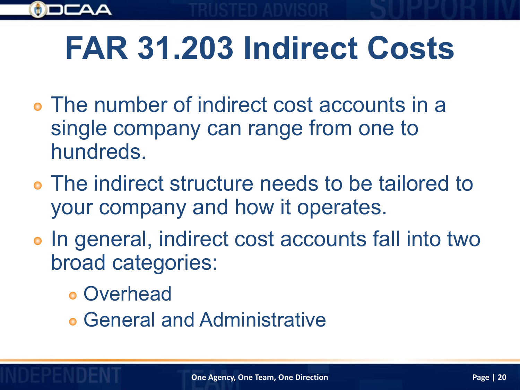

- The number of indirect cost accounts in a single company can range from one to hundreds.
- The indirect structure needs to be tailored to your company and how it operates.
- In general, indirect cost accounts fall into two broad categories:
	- Overhead
	- General and Administrative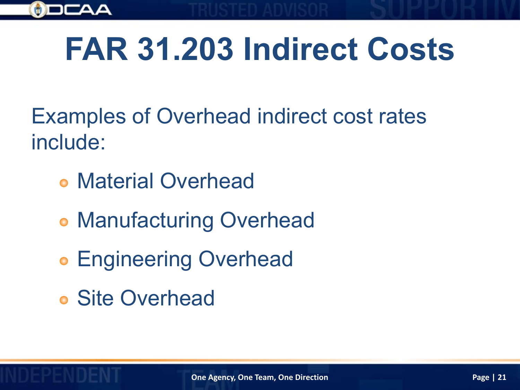

Examples of Overhead indirect cost rates include:

- Material Overhead
- **Manufacturing Overhead**
- **Engineering Overhead**
- Site Overhead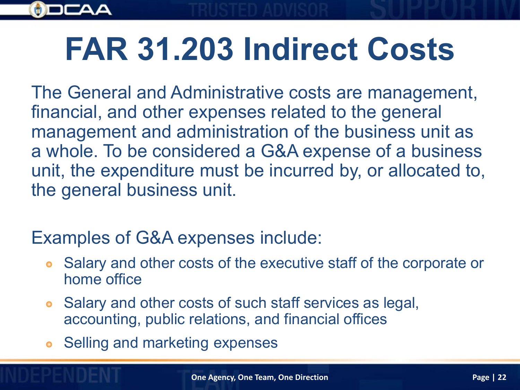

The General and Administrative costs are management, financial, and other expenses related to the general management and administration of the business unit as a whole. To be considered a G&A expense of a business unit, the expenditure must be incurred by, or allocated to, the general business unit.

Examples of G&A expenses include:

- Salary and other costs of the executive staff of the corporate or home office
- Salary and other costs of such staff services as legal,  $\bullet$ accounting, public relations, and financial offices
- Selling and marketing expenses  $\bullet$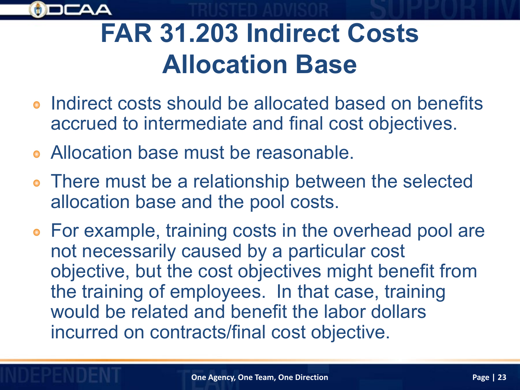

### **FAR 31.203 Indirect Costs Allocation Base**

- Indirect costs should be allocated based on benefits accrued to intermediate and final cost objectives.
- Allocation base must be reasonable.
- There must be a relationship between the selected allocation base and the pool costs.
- For example, training costs in the overhead pool are not necessarily caused by a particular cost objective, but the cost objectives might benefit from the training of employees. In that case, training would be related and benefit the labor dollars incurred on contracts/final cost objective.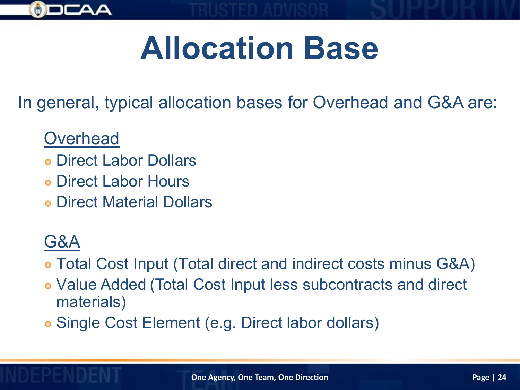

# **Allocation Base**

In general, typical allocation bases for Overhead and G&A are:

#### **Overhead**

- Direct Labor Dollars
- Direct Labor Hours
- Direct Material Dollars

#### G&A

Total Cost Input (Total direct and indirect costs minus G&A)

- Value Added (Total Cost Input less subcontracts and direct materials)
- Single Cost Element (e.g. Direct labor dollars)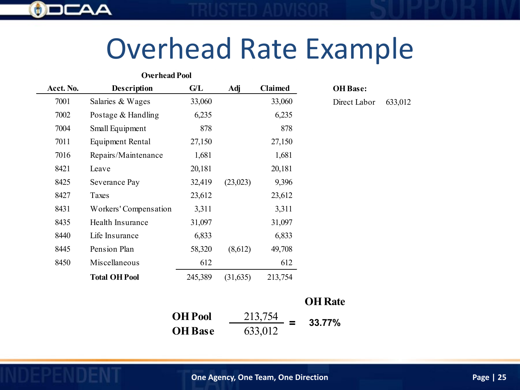

### Overhead Rate Example

| <b>Overhead Pool</b> |                       |         |          |         |  |  |  |
|----------------------|-----------------------|---------|----------|---------|--|--|--|
| Acct. No.            | Description           | G/L     | Adj      | Claimed |  |  |  |
| 7001                 | Salaries & Wages      | 33,060  |          | 33,060  |  |  |  |
| 7002                 | Postage & Handling    | 6,235   |          | 6,235   |  |  |  |
| 7004                 | Small Equipment       | 878     |          | 878     |  |  |  |
| 7011                 | Equipment Rental      | 27,150  |          | 27,150  |  |  |  |
| 7016                 | Repairs/Maintenance   | 1,681   |          | 1,681   |  |  |  |
| 8421                 | Leave                 | 20,181  |          | 20,181  |  |  |  |
| 8425                 | Severance Pay         | 32,419  | (23,023) | 9,396   |  |  |  |
| 8427                 | Taxes                 | 23,612  |          | 23,612  |  |  |  |
| 8431                 | Workers' Compensation | 3,311   |          | 3,311   |  |  |  |
| 8435                 | Health Insurance      | 31,097  |          | 31,097  |  |  |  |
| 8440                 | Life Insurance        | 6,833   |          | 6,833   |  |  |  |
| 8445                 | Pension Plan          | 58,320  | (8,612)  | 49,708  |  |  |  |
| 8450                 | Miscellaneous         | 612     |          | 612     |  |  |  |
|                      | <b>Total OH Pool</b>  | 245,389 | (31,635) | 213,754 |  |  |  |

Direct Labor 633,012

| <b>OH</b> Pool | 213,754 | 33.77% |
|----------------|---------|--------|
| <b>OH</b> Base | 633,012 |        |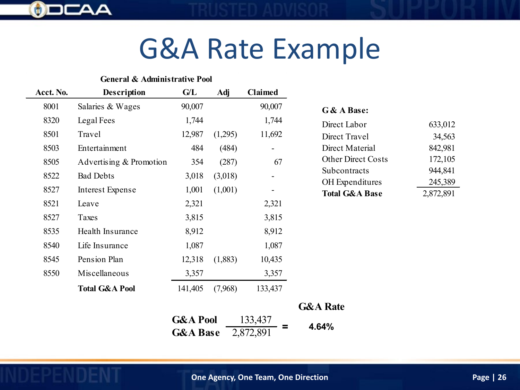

### G&A Rate Example

|           | <b>General &amp; Administrative Pool</b> |         |         |         |
|-----------|------------------------------------------|---------|---------|---------|
| Acct. No. | <b>Description</b>                       | G/L     | Adj     | Claimed |
| 8001      | Salaries & Wages                         | 90,007  |         | 90,007  |
| 8320      | Legal Fees                               | 1,744   |         | 1,744   |
| 8501      | Travel                                   | 12,987  | (1,295) | 11,692  |
| 8503      | Entertainment                            | 484     | (484)   | -       |
| 8505      | Advertising & Promotion                  | 354     | (287)   | 67      |
| 8522      | <b>Bad Debts</b>                         | 3,018   | (3,018) |         |
| 8527      | Interest Expense                         | 1,001   | (1,001) |         |
| 8521      | Leave                                    | 2,321   |         | 2,321   |
| 8527      | Taxes                                    | 3,815   |         | 3,815   |
| 8535      | Health Insurance                         | 8,912   |         | 8,912   |
| 8540      | Life Insurance                           | 1,087   |         | 1,087   |
| 8545      | Pension Plan                             | 12,318  | (1,883) | 10,435  |
| 8550      | Miscellaneous                            | 3,357   |         | 3,357   |
|           | <b>Total G&amp;A Pool</b>                | 141,405 | (7,968) | 133,437 |
|           |                                          |         |         |         |

| <b>G&amp;A Pool</b> | 133,437   | 4.64% |
|---------------------|-----------|-------|
| <b>G&amp;A Base</b> | 2,872,891 |       |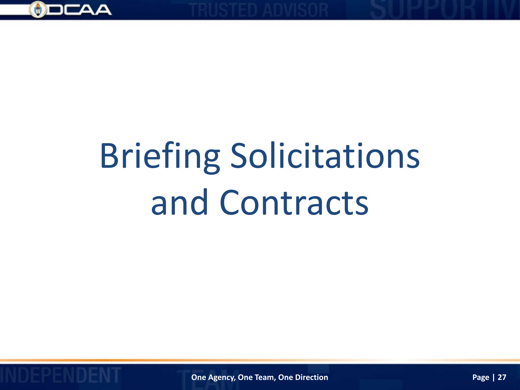

# Briefing Solicitations and Contracts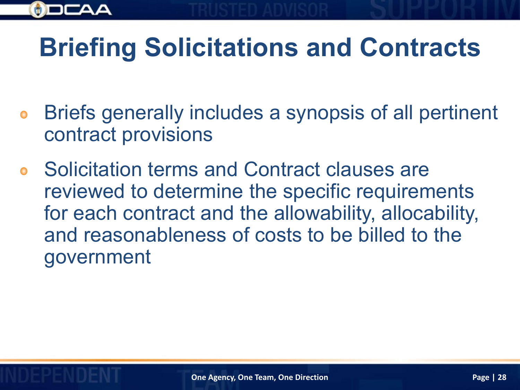

### **Briefing Solicitations and Contracts**

- Briefs generally includes a synopsis of all pertinent contract provisions
- Solicitation terms and Contract clauses are reviewed to determine the specific requirements for each contract and the allowability, allocability, and reasonableness of costs to be billed to the government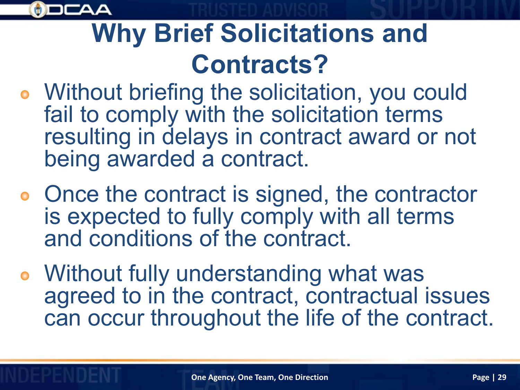

### **Why Brief Solicitations and Contracts?**

- Without briefing the solicitation, you could fail to comply with the solicitation terms resulting in delays in contract award or not being awarded a contract.
- Once the contract is signed, the contractor is expected to fully comply with all terms and conditions of the contract.
- Without fully understanding what was agreed to in the contract, contractual issues can occur throughout the life of the contract.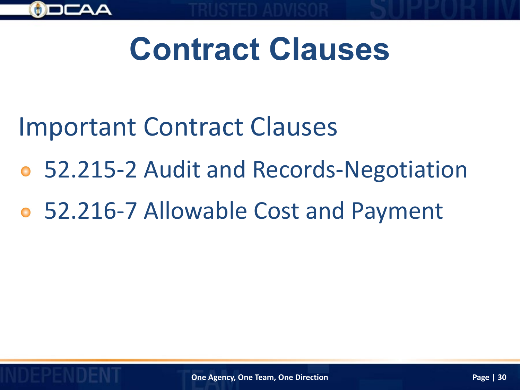

## **Contract Clauses**

- Important Contract Clauses
- 52.215-2 Audit and Records-Negotiation
- 52.216-7 Allowable Cost and Payment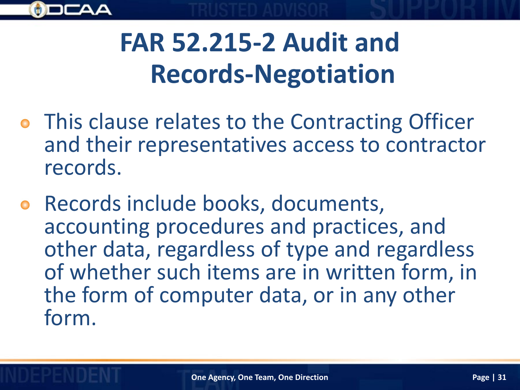

- This clause relates to the Contracting Officer and their representatives access to contractor records.
- Records include books, documents, accounting procedures and practices, and other data, regardless of type and regardless of whether such items are in written form, in the form of computer data, or in any other form.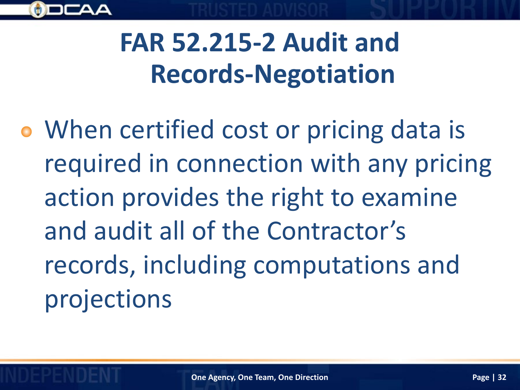

When certified cost or pricing data is required in connection with any pricing action provides the right to examine and audit all of the Contractor's records, including computations and projections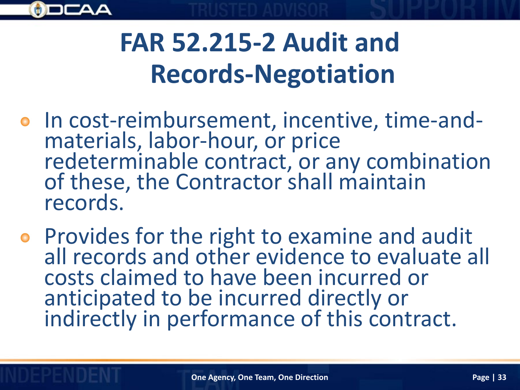

- In cost-reimbursement, incentive, time-and-<br>materials, labor-hour, or price<br>redeterminable contract, or any combination<br>of these, the Contractor shall maintain records.
- Provides for the right to examine and audit all records and other evidence to evaluate all costs claimed to have been incurred or anticipated to be incurred directly or indirectly in performance of this contract.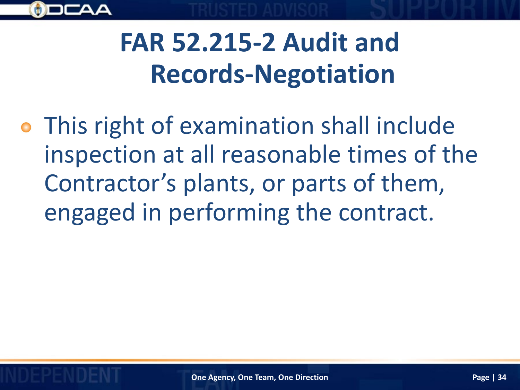

This right of examination shall include inspection at all reasonable times of the Contractor's plants, or parts of them, engaged in performing the contract.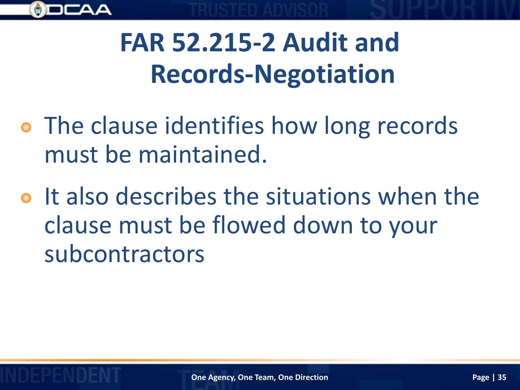

- The clause identifies how long records must be maintained.
- o It also describes the situations when the clause must be flowed down to your subcontractors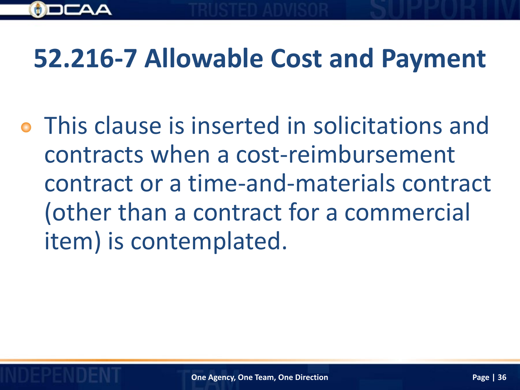

This clause is inserted in solicitations and contracts when a cost-reimbursement contract or a time-and-materials contract (other than a contract for a commercial item) is contemplated.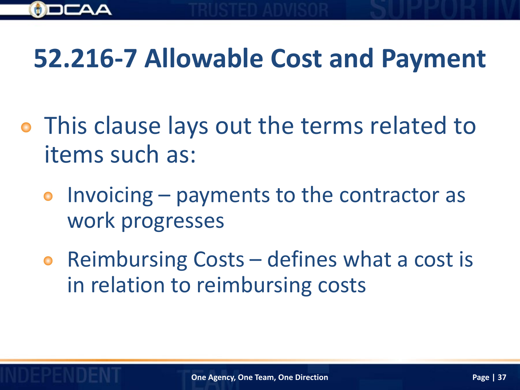

- This clause lays out the terms related to items such as:
	- $\bullet$  Invoicing payments to the contractor as work progresses
	- Reimbursing Costs defines what a cost is in relation to reimbursing costs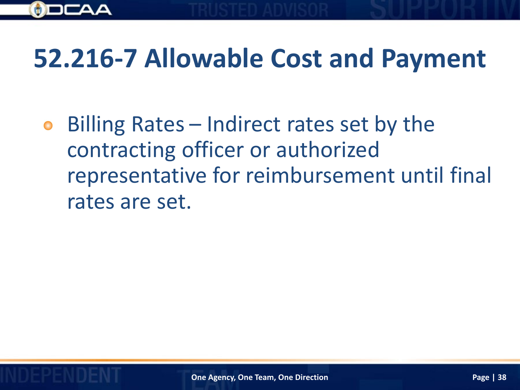

Billing Rates – Indirect rates set by the  $\bullet$ contracting officer or authorized representative for reimbursement until final rates are set.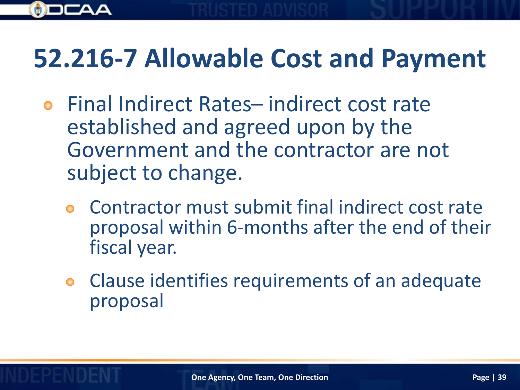

- Final Indirect Rates– indirect cost rate  $\bullet$ established and agreed upon by the Government and the contractor are not subject to change.
	- Contractor must submit final indirect cost rate  $\bullet$ proposal within 6-months after the end of their fiscal year.
	- Clause identifies requirements of an adequate proposal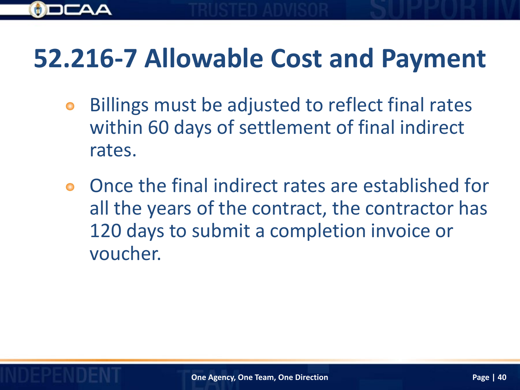- Billings must be adjusted to reflect final rates  $\bullet$ within 60 days of settlement of final indirect rates.
- Once the final indirect rates are established for  $\bullet$ all the years of the contract, the contractor has 120 days to submit a completion invoice or voucher.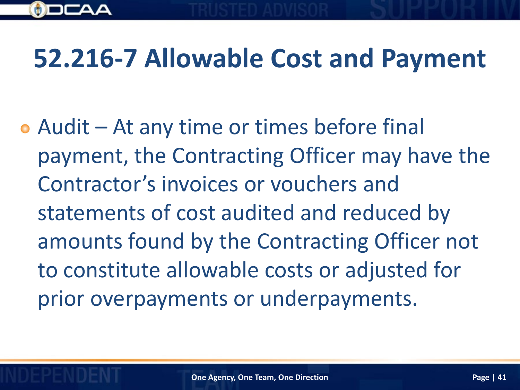

Audit – At any time or times before final payment, the Contracting Officer may have the Contractor's invoices or vouchers and statements of cost audited and reduced by amounts found by the Contracting Officer not to constitute allowable costs or adjusted for prior overpayments or underpayments.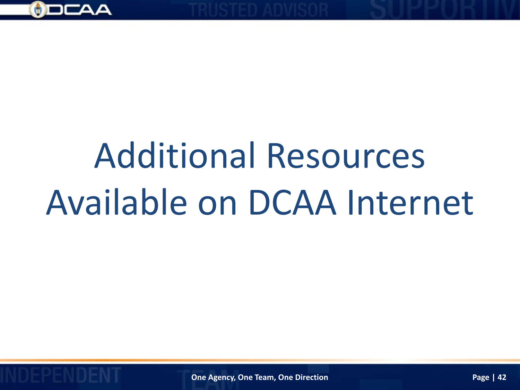

# Additional Resources Available on DCAA Internet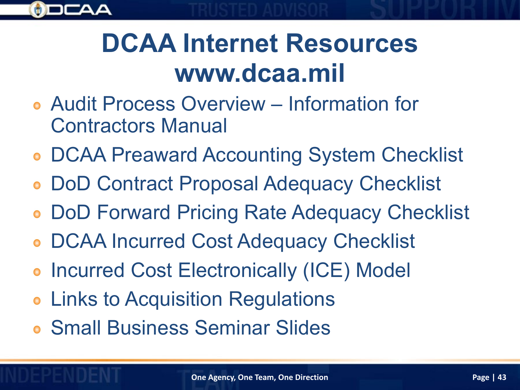

### **DCAA Internet Resources www.dcaa.mil**

- Audit Process Overview Information for Contractors Manual
- DCAA Preaward Accounting System Checklist
- DoD Contract Proposal Adequacy Checklist
- DoD Forward Pricing Rate Adequacy Checklist  $\bullet$
- DCAA Incurred Cost Adequacy Checklist
- Incurred Cost Electronically (ICE) Model
- Links to Acquisition Regulations  $\bullet$
- Small Business Seminar Slides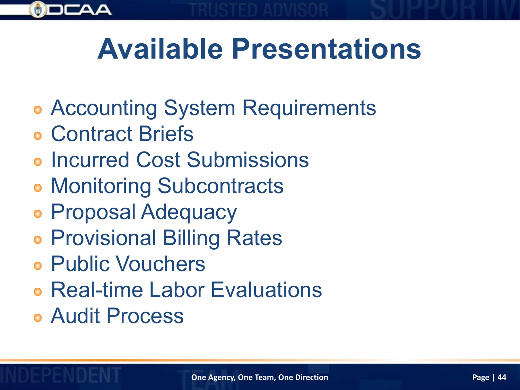

- Accounting System Requirements
- Contract Briefs
- **Incurred Cost Submissions**
- **Monitoring Subcontracts**
- **Proposal Adequacy**
- **Provisional Billing Rates**
- Public Vouchers
- Real-time Labor Evaluations
- Audit Process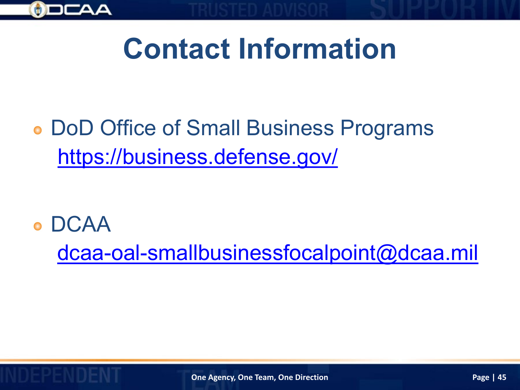

## **Contact Information**

DoD Office of Small Business Programs  $\bullet$ <https://business.defense.gov/>

DCAA [dcaa-oal-smallbusinessfocalpoint@dcaa.mil](mailto:dcaa-oal-smallbusinessfocalpoint@dcaa.mil)